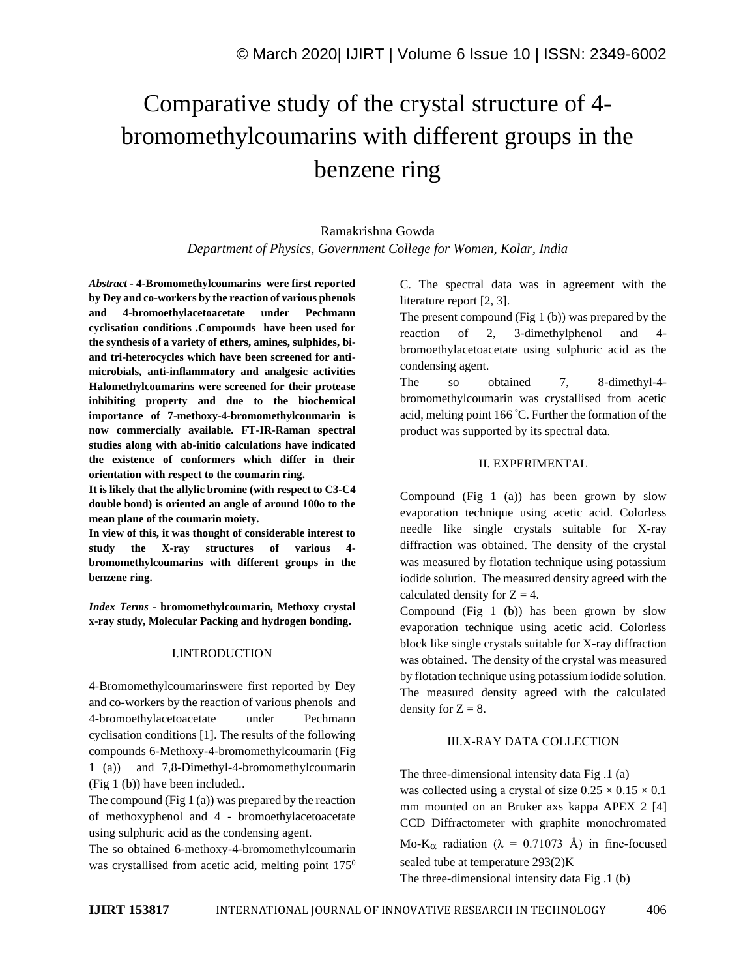# Comparative study of the crystal structure of 4 bromomethylcoumarins with different groups in the benzene ring

## Ramakrishna Gowda *Department of Physics, Government College for Women, Kolar, India*

*Abstract -* **4-Bromomethylcoumarins were first reported by Dey and co-workers by the reaction of various phenols and 4-bromoethylacetoacetate under Pechmann cyclisation conditions .Compounds have been used for the synthesis of a variety of ethers, amines, sulphides, biand tri-heterocycles which have been screened for antimicrobials, anti-inflammatory and analgesic activities Halomethylcoumarins were screened for their protease inhibiting property and due to the biochemical importance of 7-methoxy-4-bromomethylcoumarin is now commercially available. FT-IR-Raman spectral studies along with ab-initio calculations have indicated the existence of conformers which differ in their orientation with respect to the coumarin ring.** 

**It is likely that the allylic bromine (with respect to C3-C4 double bond) is oriented an angle of around 100o to the mean plane of the coumarin moiety.** 

**In view of this, it was thought of considerable interest to study the X-ray structures of various 4 bromomethylcoumarins with different groups in the benzene ring.**

*Index Terms -* **bromomethylcoumarin, Methoxy crystal x-ray study, Molecular Packing and hydrogen bonding.**

#### I.INTRODUCTION

4-Bromomethylcoumarinswere first reported by Dey and co-workers by the reaction of various phenols and 4-bromoethylacetoacetate under Pechmann cyclisation conditions [1]. The results of the following compounds 6-Methoxy-4-bromomethylcoumarin (Fig 1 (a)) and 7,8-Dimethyl-4-bromomethylcoumarin (Fig 1 (b)) have been included..

The compound (Fig  $1$  (a)) was prepared by the reaction of methoxyphenol and 4 - bromoethylacetoacetate using sulphuric acid as the condensing agent.

The so obtained 6-methoxy-4-bromomethylcoumarin was crystallised from acetic acid, melting point  $175^{\circ}$  C. The spectral data was in agreement with the literature report [2, 3].

The present compound (Fig 1 (b)) was prepared by the reaction of 2, 3-dimethylphenol and 4 bromoethylacetoacetate using sulphuric acid as the condensing agent.

The so obtained 7, 8-dimethyl-4bromomethylcoumarin was crystallised from acetic acid, melting point 166 °C. Further the formation of the product was supported by its spectral data.

#### II. EXPERIMENTAL

Compound (Fig  $1$  (a)) has been grown by slow evaporation technique using acetic acid. Colorless needle like single crystals suitable for X-ray diffraction was obtained. The density of the crystal was measured by flotation technique using potassium iodide solution. The measured density agreed with the calculated density for  $Z = 4$ .

Compound (Fig 1 (b)) has been grown by slow evaporation technique using acetic acid. Colorless block like single crystals suitable for X-ray diffraction was obtained. The density of the crystal was measured by flotation technique using potassium iodide solution. The measured density agreed with the calculated density for  $Z = 8$ .

#### III.X-RAY DATA COLLECTION

The three-dimensional intensity data Fig .1 (a) was collected using a crystal of size  $0.25 \times 0.15 \times 0.1$ mm mounted on an Bruker axs kappa APEX 2 [4] CCD Diffractometer with graphite monochromated Mo-K<sub>α</sub> radiation ( $\lambda = 0.71073$  Å) in fine-focused sealed tube at temperature 293(2)K

The three-dimensional intensity data Fig .1 (b)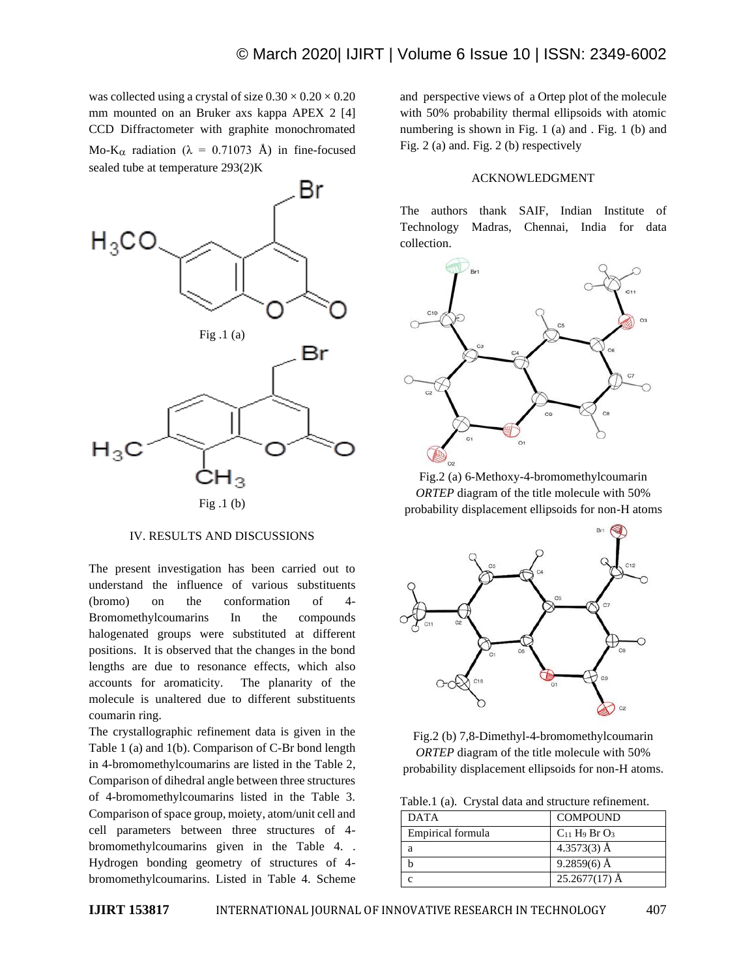was collected using a crystal of size  $0.30 \times 0.20 \times 0.20$ mm mounted on an Bruker axs kappa APEX 2 [4] CCD Diffractometer with graphite monochromated Mo-K<sub>α</sub> radiation ( $\lambda = 0.71073$  Å) in fine-focused sealed tube at temperature 293(2)K



#### IV. RESULTS AND DISCUSSIONS

The present investigation has been carried out to understand the influence of various substituents (bromo) on the conformation of 4- Bromomethylcoumarins In the compounds halogenated groups were substituted at different positions. It is observed that the changes in the bond lengths are due to resonance effects, which also accounts for aromaticity. The planarity of the molecule is unaltered due to different substituents coumarin ring.

The crystallographic refinement data is given in the Table 1 (a) and 1(b). Comparison of C-Br bond length in 4-bromomethylcoumarins are listed in the Table 2, Comparison of dihedral angle between three structures of 4-bromomethylcoumarins listed in the Table 3. Comparison of space group, moiety, atom/unit cell and cell parameters between three structures of 4 bromomethylcoumarins given in the Table 4. . Hydrogen bonding geometry of structures of 4 bromomethylcoumarins. Listed in Table 4. Scheme

and perspective views of a Ortep plot of the molecule with 50% probability thermal ellipsoids with atomic numbering is shown in Fig. 1 (a) and . Fig. 1 (b) and Fig. 2 (a) and. Fig. 2 (b) respectively

#### ACKNOWLEDGMENT

The authors thank SAIF, Indian Institute of Technology Madras, Chennai, India for data collection.



Fig.2 (a) 6-Methoxy-4-bromomethylcoumarin *ORTEP* diagram of the title molecule with 50% probability displacement ellipsoids for non-H atoms



Fig.2 (b) 7,8-Dimethyl-4-bromomethylcoumarin *ORTEP* diagram of the title molecule with 50% probability displacement ellipsoids for non-H atoms.

| Table.1 (a). Crystal data and structure refinement. |  |  |  |  |  |
|-----------------------------------------------------|--|--|--|--|--|
|-----------------------------------------------------|--|--|--|--|--|

| <b>DATA</b>       | <b>COMPOUND</b>                           |
|-------------------|-------------------------------------------|
| Empirical formula | $C_{11}$ H <sub>9</sub> Br O <sub>3</sub> |
|                   | $4.3573(3)$ Å                             |
|                   | $9.2859(6)$ Å                             |
|                   | $25.2677(17)$ Å                           |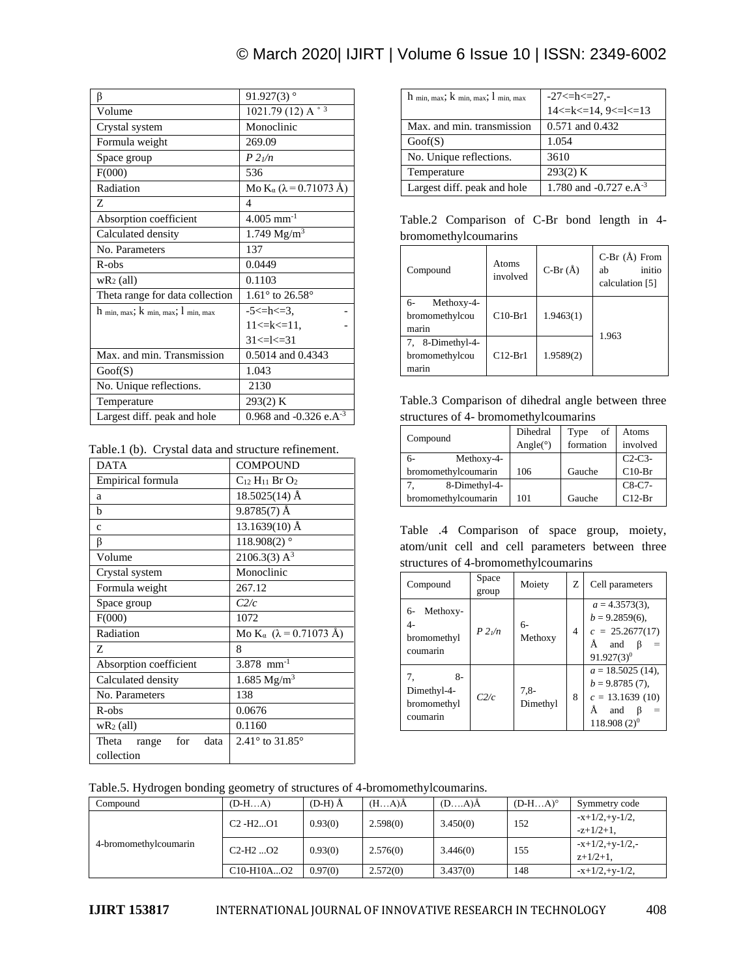# © March 2020| IJIRT | Volume 6 Issue 10 | ISSN: 2349-6002

| β                                        | $91.927(3)$ °                      |
|------------------------------------------|------------------------------------|
| Volume                                   | 1021.79 $(12)$ A $\degree$ 3       |
| Crystal system                           | Monoclinic                         |
| Formula weight                           | 269.09                             |
| Space group                              | P21/n                              |
| F(000)                                   | 536                                |
| Radiation                                | Mo K <sub>α</sub> (λ = 0.71073 Å)  |
| Z                                        | $\overline{4}$                     |
| Absorption coefficient                   | $4.005$ mm <sup>-1</sup>           |
| Calculated density                       | $1.749 \text{ Mg/m}^3$             |
| No. Parameters                           | 137                                |
| $R$ -obs                                 | 0.0449                             |
| $wR_2$ (all)                             | 0.1103                             |
| Theta range for data collection          | $1.61^{\circ}$ to $26.58^{\circ}$  |
| $h$ min, max; $k$ min, max; $l$ min, max | $-5 < h < 3$ ,                     |
|                                          | $11 \le k \le 11$ ,                |
|                                          | $31 < =  < 31$                     |
| Max. and min. Transmission               | 0.5014 and 0.4343                  |
| Goof(S)                                  | 1.043                              |
| No. Unique reflections.                  | 2130                               |
| Temperature                              | 293(2) K                           |
| Largest diff. peak and hole              | 0.968 and -0.326 e.A <sup>-3</sup> |

Table.1 (b). Crystal data and structure refinement.

| <b>DATA</b>                   | <b>COMPOUND</b>                                   |  |  |  |
|-------------------------------|---------------------------------------------------|--|--|--|
| Empirical formula             | $C_{12}$ H <sub>11</sub> Br $O_2$                 |  |  |  |
| a                             | $18.5025(14)$ Å                                   |  |  |  |
| b                             | $9.8785(7)$ Å                                     |  |  |  |
| $\mathbf{C}$                  | $13.1639(10)$ Å                                   |  |  |  |
| β                             | 118.908(2) $^{\circ}$                             |  |  |  |
| Volume                        | $2106.3(3)$ A <sup>3</sup>                        |  |  |  |
| Crystal system                | Monoclinic                                        |  |  |  |
| Formula weight                | 267.12                                            |  |  |  |
| Space group                   | C2/c                                              |  |  |  |
| F(000)                        | 1072                                              |  |  |  |
| Radiation                     | Mo K <sub>a</sub> $(\lambda = 0.71073 \text{ Å})$ |  |  |  |
| Z                             | 8                                                 |  |  |  |
| Absorption coefficient        | $3.878$ mm <sup>-1</sup>                          |  |  |  |
| Calculated density            | $1.685 \text{ Mg/m}^3$                            |  |  |  |
| No. Parameters                | 138                                               |  |  |  |
| $R$ -obs                      | 0.0676                                            |  |  |  |
| $wR_2$ (all)                  | 0.1160                                            |  |  |  |
| for<br>Theta<br>data<br>range | 2.41 $\degree$ to 31.85 $\degree$                 |  |  |  |
| collection                    |                                                   |  |  |  |

| $h$ min, max; $k$ min, max; $l$ min, max | $-27$ $\leq$ $-h$ $\leq$ $-27$ .     |
|------------------------------------------|--------------------------------------|
|                                          | $14 \le k \le 14$ , $9 \le k \le 13$ |
| Max. and min. transmission               | 0.571 and 0.432                      |
| Goof(S)                                  | 1.054                                |
| No. Unique reflections.                  | 3610                                 |
| Temperature                              | 293(2) K                             |
| Largest diff. peak and hole              | 1.780 and -0.727 e.A <sup>-3</sup>   |

Table.2 Comparison of C-Br bond length in 4 bromomethylcoumarins

| Compound                                     | Atoms<br>involved | $C-Br(\AA)$ | $C-Br(\AA)$ From<br>initio<br>ab<br>calculation [5] |
|----------------------------------------------|-------------------|-------------|-----------------------------------------------------|
| Methoxy-4-<br>6-<br>bromomethylcou<br>marin  | $C10-Br1$         | 1.9463(1)   | 1.963                                               |
| $7.8-Dimethyl-4-$<br>bromomethylcou<br>marin | $C12-Br1$         | 1.9589(2)   |                                                     |

Table.3 Comparison of dihedral angle between three structures of 4- bromomethylcoumarins

|                                 | Dihedral           | of<br>Type | Atoms    |
|---------------------------------|--------------------|------------|----------|
| Compound                        | Angle( $\degree$ ) | formation  | involved |
| Methoxy-4-<br>$6-$              |                    |            | $C2-C3-$ |
| bromomethylcoumarin             | 106                | Gauche     | $C10-Br$ |
| 7 <sub>1</sub><br>8-Dimethyl-4- |                    |            | $C8-C7-$ |
| bromomethylcoumarin             | 101                | Gauche     | $C12-Br$ |

Table .4 Comparison of space group, moiety, atom/unit cell and cell parameters between three structures of 4-bromomethylcoumarins

| Compound                                             | Space<br>group | Moiety              | Z | Cell parameters                                                                             |
|------------------------------------------------------|----------------|---------------------|---|---------------------------------------------------------------------------------------------|
| Methoxy-<br>6-<br>4-<br>bromomethyl<br>coumarin      | $P_2/n$        | 6-<br>Methoxy       | 4 | $a = 4.3573(3)$ ,<br>$b = 9.2859(6)$ ,<br>$c = 25.2677(17)$<br>and<br>$91.927(3)^0$         |
| $8-$<br>7.<br>Dimethyl-4-<br>bromomethyl<br>coumarin | C2/c           | $7.8 -$<br>Dimethyl | 8 | $a = 18.5025(14)$ ,<br>$b = 9.8785(7)$ ,<br>$c = 13.1639(10)$<br>Ă<br>and<br>$118.908(2)^0$ |

### Table.5. Hydrogen bonding geometry of structures of 4-bromomethylcoumarins.

| Compound              | $(D-HA)$                                         | $(D-H)$ $\AA$ | $(HA)$ Å | $(DA)$ Å | $(D-HA)^\circ$ | Symmetry code       |
|-----------------------|--------------------------------------------------|---------------|----------|----------|----------------|---------------------|
| 4-bromomethylcoumarin | $C2 - H2O1$                                      | 0.93(0)       | 2.598(0) | 3.450(0) | 152            | $-x+1/2, +y-1/2,$   |
|                       |                                                  |               |          |          |                | $-z+1/2+1$ ,        |
|                       | $C2-H2$ $O2$                                     | 0.93(0)       | 2.576(0) | 3.446(0) | 155            | $-x+1/2$ , +y-1/2,- |
|                       |                                                  |               |          |          |                | $z+1/2+1$ .         |
|                       | C <sub>10</sub> -H <sub>10</sub> AO <sub>2</sub> | 0.97(0)       | 2.572(0) | 3.437(0) | 148            | $-x+1/2, +y-1/2,$   |